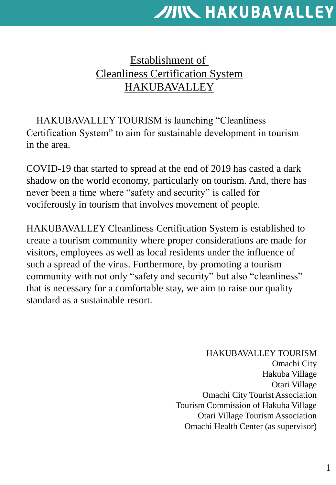## Establishment of Cleanliness Certification System HAKUBAVALLEY

HAKUBAVALLEY TOURISM is launching "Cleanliness Certification System" to aim for sustainable development in tourism in the area.

COVID-19 that started to spread at the end of 2019 has casted a dark shadow on the world economy, particularly on tourism. And, there has never been a time where "safety and security" is called for vociferously in tourism that involves movement of people.

HAKUBAVALLEY Cleanliness Certification System is established to create a tourism community where proper considerations are made for visitors, employees as well as local residents under the influence of such a spread of the virus. Furthermore, by promoting a tourism community with not only "safety and security" but also "cleanliness" that is necessary for a comfortable stay, we aim to raise our quality standard as a sustainable resort.

> HAKUBAVALLEY TOURISM Omachi City Hakuba Village Otari Village Omachi City Tourist Association Tourism Commission of Hakuba Village Otari Village Tourism Association Omachi Health Center (as supervisor)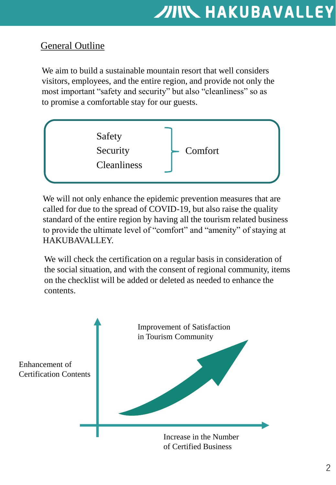## **General Outline**

We aim to build a sustainable mountain resort that well considers visitors, employees, and the entire region, and provide not only the most important "safety and security" but also "cleanliness" so as to promise a comfortable stay for our guests.



We will not only enhance the epidemic prevention measures that are called for due to the spread of COVID-19, but also raise the quality standard of the entire region by having all the tourism related business to provide the ultimate level of "comfort" and "amenity" of staying at HAKUBAVALLEY.

We will check the certification on a regular basis in consideration of the social situation, and with the consent of regional community, items on the checklist will be added or deleted as needed to enhance the contents.